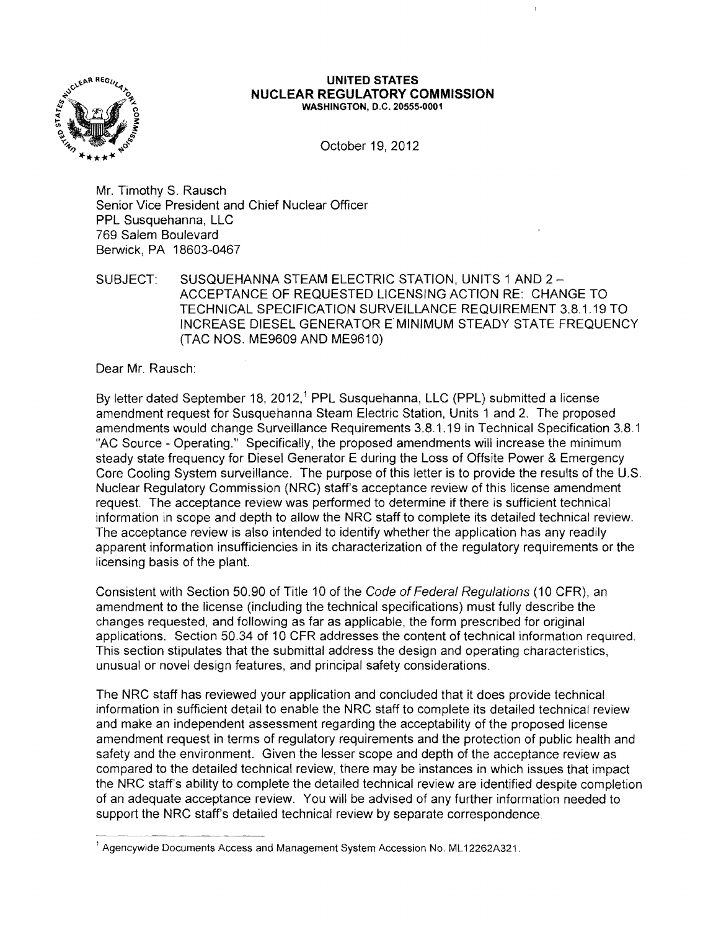

## **UNITED STATES NUCLEAR REGULATORY COMMISSION** WASHINGTON, D.C. 20555·0001

October 19, 2012

Mr. Timothy S. Rausch Senior Vice President and Chief Nuclear Officer PPL Susquehanna, LLC 769 Salem Boulevard Berwick, PA 18603-0467

SUBJECT: SUSQUEHANNA STEAM ELECTRIC STATION, UNITS 1 AND 2 ACCEPTANCE OF REQUESTED LICENSING ACTION RE: CHANGE TO TECHNICAL SPECIFICATION SURVEILLANCE REQUIREMENT 3.8.1.19 TO INCREASE DIESEL GENERATOR E'MINIMUM STEADY STATE FREQUENCY (TAC NOS. ME9609 AND ME9610)

Dear Mr. Rausch:

By letter dated September 18, 2012,<sup>1</sup> PPL Susquehanna, LLC (PPL) submitted a license amendment request for Susquehanna Steam Electric Station, Units 1 and 2. The proposed amendments would change Surveillance Requirements 3.8.1.19 in Technical Specification 3.8.1 "AC Source - Operating." Specifically, the proposed amendments will increase the minimum steady state frequency for Diesel Generator E during the Loss of Offsite Power & Emergency Core Cooling System surveillance. The purpose of this letter is to provide the results of the U.S. Nuclear Regulatory Commission (NRC) staff's acceptance review of this license amendment request. The acceptance review was performed to determine if there is sufficient technical information in scope and depth to allow the NRC staff to complete its detailed technical review. The acceptance review is also intended to identify whether the application has any readily apparent information insufficiencies in its characterization of the regulatory requirements or the licensing basis of the plant.

Consistent with Section 50.90 of Title 10 of the Code of Federal Regulations (10 CFR), an amendment to the license (including the technical specifications) must fully describe the changes requested, and following as far as applicable, the form prescribed for original applications. Section 50.34 of 10 CFR addresses the content of technical information required. This section stipulates that the submittal address the design and operating characteristics, unusual or novel design features, and principal safety considerations.

The NRC staff has reviewed your application and concluded that it does provide technical information in sufficient detail to enable the NRC staff to complete its detailed technical review and make an independent assessment regarding the acceptability of the proposed license amendment request in terms of regulatory requirements and the protection of public health and safety and the environment. Given the lesser scope and depth of the acceptance review as compared to the detailed technical review, there may be instances in which issues that impact the NRC staff's ability to complete the detailed technical review are identified despite completion of an adequate acceptance review. You will be advised of any further information needed to support the NRC staff's detailed technical review by separate correspondence . ..--~--.------ --

 $<sup>1</sup>$  Agencywide Documents Access and Management System Accession No. ML12262A321.</sup>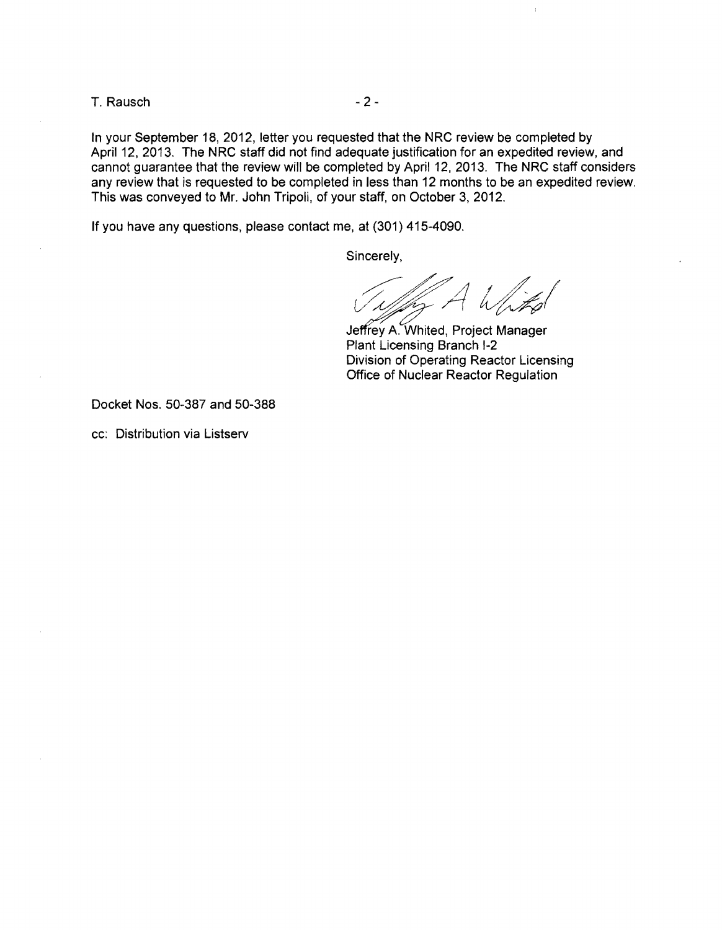T. Rausch and the contract of the 2-

In your September 18, 2012, letter you requested that the NRC review be completed by April 12, 2013. The NRC staff did not find adequate justification for an expedited review, and cannot guarantee that the review will be completed by April 12, 2013. The NRC staff considers any review that is requested to be completed in less than 12 months to be an expedited review. This was conveyed to Mr. John Tripoli, of your staff, on October 3, 2012.

If you have any questions, please contact me, at (301) 415-4090.

Sincerely,

Jeffrey A. Whited, Project Manager Plant Licensing Branch I-2 Division of Operating Reactor Licensing Office of Nuclear Reactor Regulation

Docket Nos. 50-387 and 50-388

cc: Distribution via Listserv